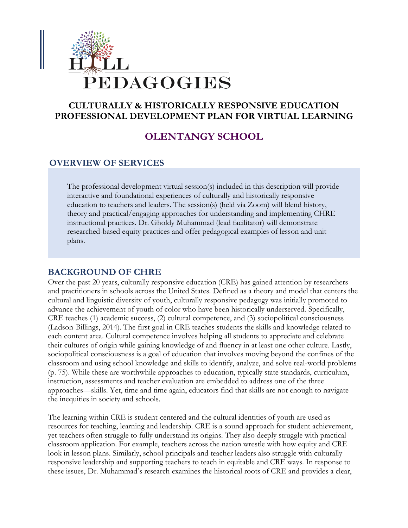

# **CULTURALLY & HISTORICALLY RESPONSIVE EDUCATION PROFESSIONAL DEVELOPMENT PLAN FOR VIRTUAL LEARNING**

# **OLENTANGY SCHOOL**

## **OVERVIEW OF SERVICES**

The professional development virtual session(s) included in this description will provide interactive and foundational experiences of culturally and historically responsive education to teachers and leaders. The session(s) (held via Zoom) will blend history, theory and practical/engaging approaches for understanding and implementing CHRE instructional practices. Dr. Gholdy Muhammad (lead facilitator) will demonstrate researched-based equity practices and offer pedagogical examples of lesson and unit plans.

#### **BACKGROUND OF CHRE**

Over the past 20 years, culturally responsive education (CRE) has gained attention by researchers and practitioners in schools across the United States. Defined as a theory and model that centers the cultural and linguistic diversity of youth, culturally responsive pedagogy was initially promoted to advance the achievement of youth of color who have been historically underserved. Specifically, CRE teaches (1) academic success, (2) cultural competence, and (3) sociopolitical consciousness (Ladson-Billings, 2014). The first goal in CRE teaches students the skills and knowledge related to each content area. Cultural competence involves helping all students to appreciate and celebrate their cultures of origin while gaining knowledge of and fluency in at least one other culture. Lastly, sociopolitical consciousness is a goal of education that involves moving beyond the confines of the classroom and using school knowledge and skills to identify, analyze, and solve real-world problems (p. 75). While these are worthwhile approaches to education, typically state standards, curriculum, instruction, assessments and teacher evaluation are embedded to address one of the three approaches—skills. Yet, time and time again, educators find that skills are not enough to navigate the inequities in society and schools.

The learning within CRE is student-centered and the cultural identities of youth are used as resources for teaching, learning and leadership. CRE is a sound approach for student achievement, yet teachers often struggle to fully understand its origins. They also deeply struggle with practical classroom application. For example, teachers across the nation wrestle with how equity and CRE look in lesson plans. Similarly, school principals and teacher leaders also struggle with culturally responsive leadership and supporting teachers to teach in equitable and CRE ways. In response to these issues, Dr. Muhammad's research examines the historical roots of CRE and provides a clear,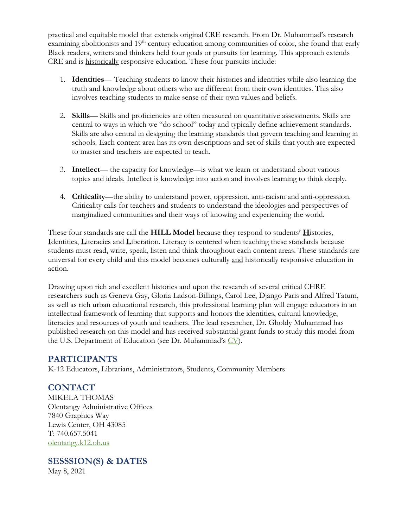practical and equitable model that extends original CRE research. From Dr. Muhammad's research examining abolitionists and 19<sup>th</sup> century education among communities of color, she found that early Black readers, writers and thinkers held four goals or pursuits for learning. This approach extends CRE and is historically responsive education. These four pursuits include:

- 1. **Identities** Teaching students to know their histories and identities while also learning the truth and knowledge about others who are different from their own identities. This also involves teaching students to make sense of their own values and beliefs.
- 2. **Skills** Skills and proficiencies are often measured on quantitative assessments. Skills are central to ways in which we "do school" today and typically define achievement standards. Skills are also central in designing the learning standards that govern teaching and learning in schools. Each content area has its own descriptions and set of skills that youth are expected to master and teachers are expected to teach.
- 3. **Intellect** the capacity for knowledge—is what we learn or understand about various topics and ideals. Intellect is knowledge into action and involves learning to think deeply.
- 4. **Criticality**—the ability to understand power, oppression, anti-racism and anti-oppression. Criticality calls for teachers and students to understand the ideologies and perspectives of marginalized communities and their ways of knowing and experiencing the world.

These four standards are call the **HILL Model** because they respond to students' **H**istories, **I**dentities, **L**iteracies and **L**iberation. Literacy is centered when teaching these standards because students must read, write, speak, listen and think throughout each content areas. These standards are universal for every child and this model becomes culturally and historically responsive education in action.

Drawing upon rich and excellent histories and upon the research of several critical CHRE researchers such as Geneva Gay, Gloria Ladson-Billings, Carol Lee, Django Paris and Alfred Tatum, as well as rich urban educational research, this professional learning plan will engage educators in an intellectual framework of learning that supports and honors the identities, cultural knowledge, literacies and resources of youth and teachers. The lead researcher, Dr. Gholdy Muhammad has published research on this model and has received substantial grant funds to study this model from the U.S. Department of Education (see Dr. Muhammad's  $CV$ ).

## **PARTICIPANTS**

K-12 Educators, Librarians, Administrators, Students, Community Members

## **CONTACT**

MIKELA THOMAS Olentangy Administrative Offices 7840 Graphics Way Lewis Center, OH 43085 T: 740.657.5041 [olentangy.k12.oh.us](https://www.olentangy.k12.oh.us/)

## **SESSSION(S) & DATES** May 8, 2021